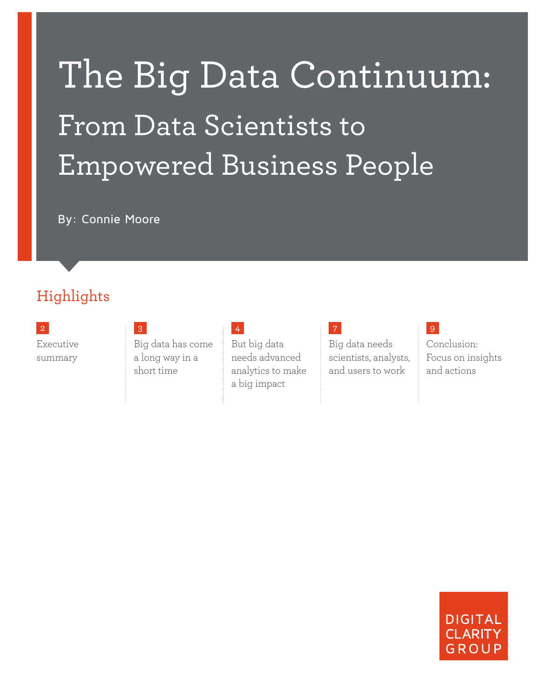# The Big Data Continuum: From Data Scientists to Empowered Business People

By: Connie Moore

### Highlights

Executive summary

Big data has come a long way in a short time

### [4](#page-3-0)

But big data needs advanced analytics to make a big impact

[7](#page-6-0) Big data needs scientists, analysts, and users to work

#### Conclusion: Focus on insights and actions

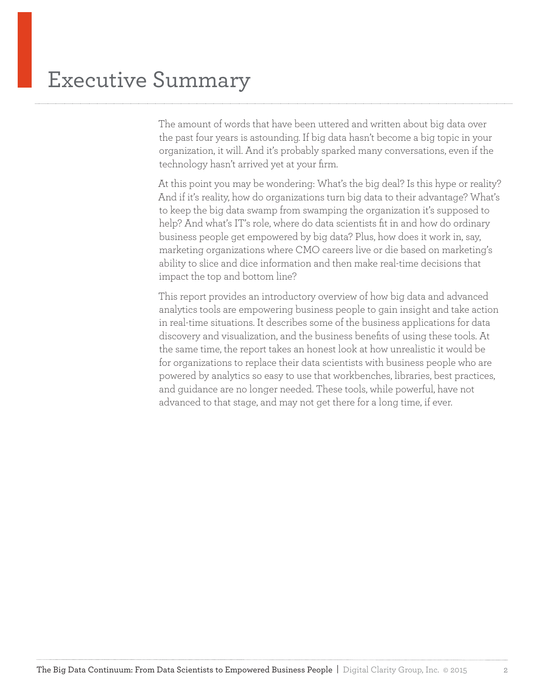<span id="page-1-0"></span>The amount of words that have been uttered and written about big data over the past four years is astounding. If big data hasn't become a big topic in your organization, it will. And it's probably sparked many conversations, even if the technology hasn't arrived yet at your firm.

At this point you may be wondering: What's the big deal? Is this hype or reality? And if it's reality, how do organizations turn big data to their advantage? What's to keep the big data swamp from swamping the organization it's supposed to help? And what's IT's role, where do data scientists fit in and how do ordinary business people get empowered by big data? Plus, how does it work in, say, marketing organizations where CMO careers live or die based on marketing's ability to slice and dice information and then make real-time decisions that impact the top and bottom line?

This report provides an introductory overview of how big data and advanced analytics tools are empowering business people to gain insight and take action in real-time situations. It describes some of the business applications for data discovery and visualization, and the business benefits of using these tools. At the same time, the report takes an honest look at how unrealistic it would be for organizations to replace their data scientists with business people who are powered by analytics so easy to use that workbenches, libraries, best practices, and guidance are no longer needed. These tools, while powerful, have not advanced to that stage, and may not get there for a long time, if ever.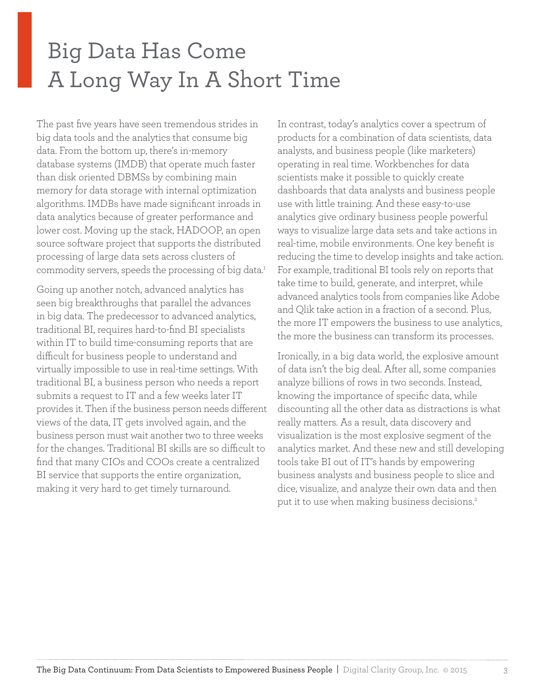### <span id="page-2-0"></span>Big Data Has Come A Long Way In A Short Time

The past five years have seen tremendous strides in big data tools and the analytics that consume big data. From the bottom up, there's in-memory database systems (IMDB) that operate much faster than disk oriented DBMSs by combining main memory for data storage with internal optimization algorithms. IMDBs have made significant inroads in data analytics because of greater performance and lower cost. Moving up the stack, HADOOP, an open source software project that supports the distributed processing of large data sets across clusters of commodity servers, speeds the processing of big data.<sup>1</sup>

Going up another notch, advanced analytics has seen big breakthroughs that parallel the advances in big data. The predecessor to advanced analytics, traditional BI, requires hard-to-find BI specialists within IT to build time-consuming reports that are difficult for business people to understand and virtually impossible to use in real-time settings. With traditional BI, a business person who needs a report submits a request to IT and a few weeks later IT provides it. Then if the business person needs different views of the data, IT gets involved again, and the business person must wait another two to three weeks for the changes. Traditional BI skills are so difficult to find that many CIOs and COOs create a centralized BI service that supports the entire organization, making it very hard to get timely turnaround.

In contrast, today's analytics cover a spectrum of products for a combination of data scientists, data analysts, and business people (like marketers) operating in real time. Workbenches for data scientists make it possible to quickly create dashboards that data analysts and business people use with little training. And these easy-to-use analytics give ordinary business people powerful ways to visualize large data sets and take actions in real-time, mobile environments. One key benefit is reducing the time to develop insights and take action. For example, traditional BI tools rely on reports that take time to build, generate, and interpret, while advanced analytics tools from companies like Adobe and Qlik take action in a fraction of a second. Plus, the more IT empowers the business to use analytics, the more the business can transform its processes.

Ironically, in a big data world, the explosive amount of data isn't the big deal. After all, some companies analyze billions of rows in two seconds. Instead, knowing the importance of specific data, while discounting all the other data as distractions is what really matters. As a result, data discovery and visualization is the most explosive segment of the analytics market. And these new and still developing tools take BI out of IT's hands by empowering business analysts and business people to slice and dice, visualize, and analyze their own data and then put it to use when making business decisions.<sup>2</sup>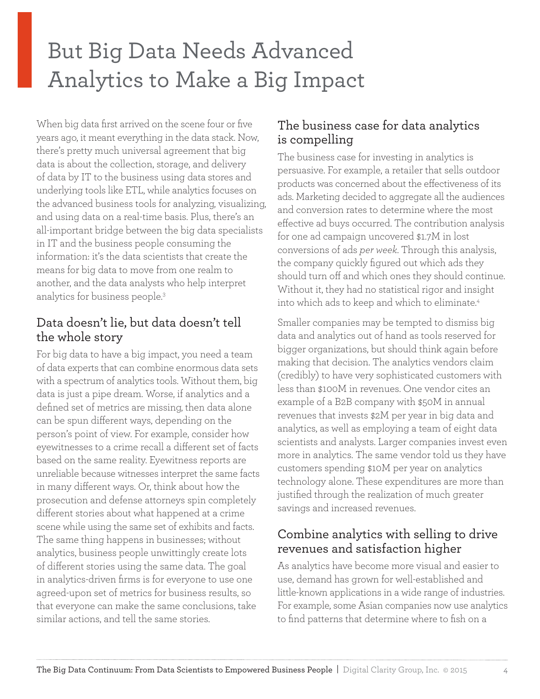## <span id="page-3-0"></span>But Big Data Needs Advanced Analytics to Make a Big Impact

When big data first arrived on the scene four or five years ago, it meant everything in the data stack. Now, there's pretty much universal agreement that big data is about the collection, storage, and delivery of data by IT to the business using data stores and underlying tools like ETL, while analytics focuses on the advanced business tools for analyzing, visualizing, and using data on a real-time basis. Plus, there's an all-important bridge between the big data specialists in IT and the business people consuming the information: it's the data scientists that create the means for big data to move from one realm to another, and the data analysts who help interpret analytics for business people.3

#### Data doesn't lie, but data doesn't tell the whole story

For big data to have a big impact, you need a team of data experts that can combine enormous data sets with a spectrum of analytics tools. Without them, big data is just a pipe dream. Worse, if analytics and a defined set of metrics are missing, then data alone can be spun different ways, depending on the person's point of view. For example, consider how eyewitnesses to a crime recall a different set of facts based on the same reality. Eyewitness reports are unreliable because witnesses interpret the same facts in many different ways. Or, think about how the prosecution and defense attorneys spin completely different stories about what happened at a crime scene while using the same set of exhibits and facts. The same thing happens in businesses; without analytics, business people unwittingly create lots of different stories using the same data. The goal in analytics-driven firms is for everyone to use one agreed-upon set of metrics for business results, so that everyone can make the same conclusions, take similar actions, and tell the same stories.

#### The business case for data analytics is compelling

The business case for investing in analytics is persuasive. For example, a retailer that sells outdoor products was concerned about the effectiveness of its ads. Marketing decided to aggregate all the audiences and conversion rates to determine where the most effective ad buys occurred. The contribution analysis for one ad campaign uncovered \$1.7M in lost conversions of ads *per week*. Through this analysis, the company quickly figured out which ads they should turn off and which ones they should continue. Without it, they had no statistical rigor and insight into which ads to keep and which to eliminate.<sup>4</sup>

Smaller companies may be tempted to dismiss big data and analytics out of hand as tools reserved for bigger organizations, but should think again before making that decision. The analytics vendors claim (credibly) to have very sophisticated customers with less than \$100M in revenues. One vendor cites an example of a B2B company with \$50M in annual revenues that invests \$2M per year in big data and analytics, as well as employing a team of eight data scientists and analysts. Larger companies invest even more in analytics. The same vendor told us they have customers spending \$10M per year on analytics technology alone. These expenditures are more than justified through the realization of much greater savings and increased revenues.

#### Combine analytics with selling to drive revenues and satisfaction higher

As analytics have become more visual and easier to use, demand has grown for well-established and little-known applications in a wide range of industries. For example, some Asian companies now use analytics to find patterns that determine where to fish on a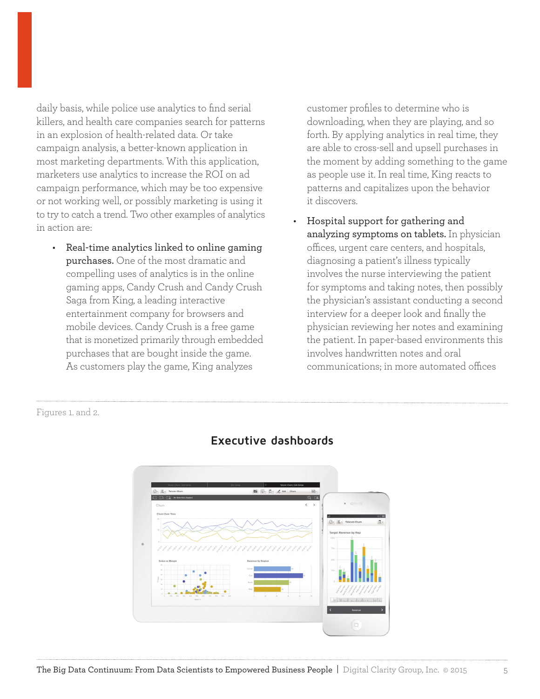daily basis, while police use analytics to find serial killers, and health care companies search for patterns in an explosion of health-related data. Or take campaign analysis, a better-known application in most marketing departments. With this application, marketers use analytics to increase the ROI on ad campaign performance, which may be too expensive or not working well, or possibly marketing is using it to try to catch a trend. Two other examples of analytics in action are:

• Real-time analytics linked to online gaming purchases. One of the most dramatic and compelling uses of analytics is in the online gaming apps, Candy Crush and Candy Crush Saga from King, a leading interactive entertainment company for browsers and mobile devices. Candy Crush is a free game that is monetized primarily through embedded purchases that are bought inside the game. As customers play the game, King analyzes

customer profiles to determine who is downloading, when they are playing, and so forth. By applying analytics in real time, they are able to cross-sell and upsell purchases in the moment by adding something to the game as people use it. In real time, King reacts to patterns and capitalizes upon the behavior it discovers.

• Hospital support for gathering and analyzing symptoms on tablets. In physician offices, urgent care centers, and hospitals, diagnosing a patient's illness typically involves the nurse interviewing the patient for symptoms and taking notes, then possibly the physician's assistant conducting a second interview for a deeper look and finally the physician reviewing her notes and examining the patient. In paper-based environments this involves handwritten notes and oral communications; in more automated offices

Figures 1. and 2.



#### **Executive dashboards**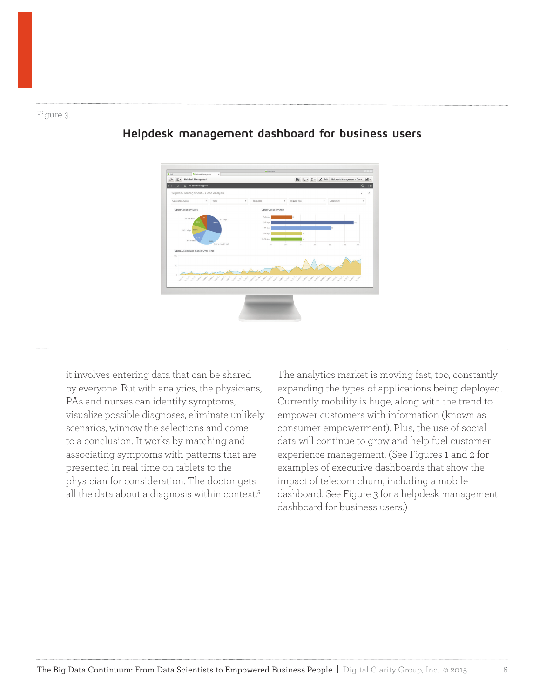#### Figure 3.



#### **Helpdesk management dashboard for business users**

it involves entering data that can be shared by everyone. But with analytics, the physicians, PAs and nurses can identify symptoms, visualize possible diagnoses, eliminate unlikely scenarios, winnow the selections and come to a conclusion. It works by matching and associating symptoms with patterns that are presented in real time on tablets to the physician for consideration. The doctor gets all the data about a diagnosis within context.5

The analytics market is moving fast, too, constantly expanding the types of applications being deployed. Currently mobility is huge, along with the trend to empower customers with information (known as consumer empowerment). Plus, the use of social data will continue to grow and help fuel customer experience management. (See Figures 1 and 2 for examples of executive dashboards that show the impact of telecom churn, including a mobile dashboard. See Figure 3 for a helpdesk management dashboard for business users.)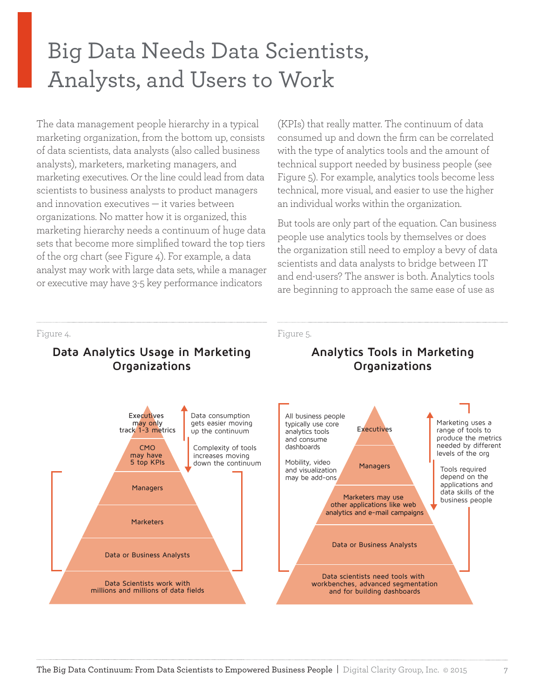### <span id="page-6-0"></span>Big Data Needs Data Scientists, Analysts, and Users to Work

The data management people hierarchy in a typical marketing organization, from the bottom up, consists of data scientists, data analysts (also called business analysts), marketers, marketing managers, and marketing executives. Or the line could lead from data scientists to business analysts to product managers and innovation executives — it varies between organizations. No matter how it is organized, this marketing hierarchy needs a continuum of huge data sets that become more simplified toward the top tiers of the org chart (see Figure 4). For example, a data analyst may work with large data sets, while a manager or executive may have 3-5 key performance indicators

(KPIs) that really matter. The continuum of data consumed up and down the firm can be correlated with the type of analytics tools and the amount of technical support needed by business people (see Figure 5). For example, analytics tools become less technical, more visual, and easier to use the higher an individual works within the organization.

But tools are only part of the equation. Can business people use analytics tools by themselves or does the organization still need to employ a bevy of data scientists and data analysts to bridge between IT and end-users? The answer is both. Analytics tools are beginning to approach the same ease of use as

#### Figure 4.

#### **Data Analytics Usage in Marketing Organizations**



#### **Analytics Tools in Marketing Organizations**

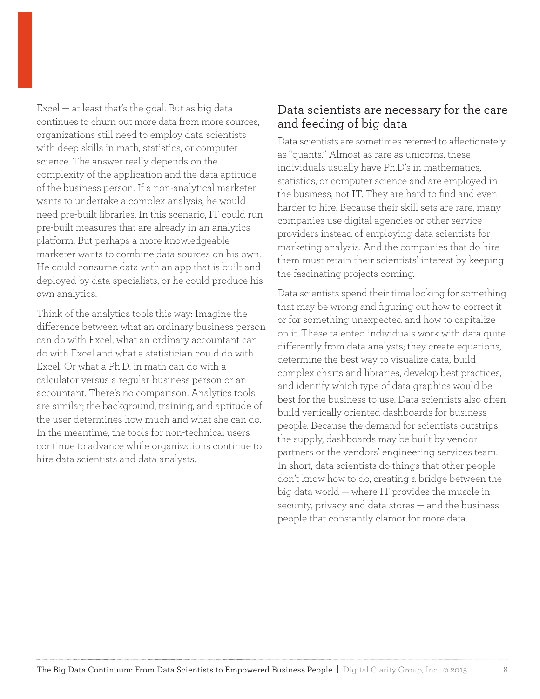Excel — at least that's the goal. But as big data continues to churn out more data from more sources, organizations still need to employ data scientists with deep skills in math, statistics, or computer science. The answer really depends on the complexity of the application and the data aptitude of the business person. If a non-analytical marketer wants to undertake a complex analysis, he would need pre-built libraries. In this scenario, IT could run pre-built measures that are already in an analytics platform. But perhaps a more knowledgeable marketer wants to combine data sources on his own. He could consume data with an app that is built and deployed by data specialists, or he could produce his own analytics.

Think of the analytics tools this way: Imagine the difference between what an ordinary business person can do with Excel, what an ordinary accountant can do with Excel and what a statistician could do with Excel. Or what a Ph.D. in math can do with a calculator versus a regular business person or an accountant. There's no comparison. Analytics tools are similar; the background, training, and aptitude of the user determines how much and what she can do. In the meantime, the tools for non-technical users continue to advance while organizations continue to hire data scientists and data analysts.

#### Data scientists are necessary for the care and feeding of big data

Data scientists are sometimes referred to affectionately as "quants." Almost as rare as unicorns, these individuals usually have Ph.D's in mathematics, statistics, or computer science and are employed in the business, not IT. They are hard to find and even harder to hire. Because their skill sets are rare, many companies use digital agencies or other service providers instead of employing data scientists for marketing analysis. And the companies that do hire them must retain their scientists' interest by keeping the fascinating projects coming.

Data scientists spend their time looking for something that may be wrong and figuring out how to correct it or for something unexpected and how to capitalize on it. These talented individuals work with data quite differently from data analysts; they create equations, determine the best way to visualize data, build complex charts and libraries, develop best practices, and identify which type of data graphics would be best for the business to use. Data scientists also often build vertically oriented dashboards for business people. Because the demand for scientists outstrips the supply, dashboards may be built by vendor partners or the vendors' engineering services team. In short, data scientists do things that other people don't know how to do, creating a bridge between the big data world — where IT provides the muscle in security, privacy and data stores — and the business people that constantly clamor for more data.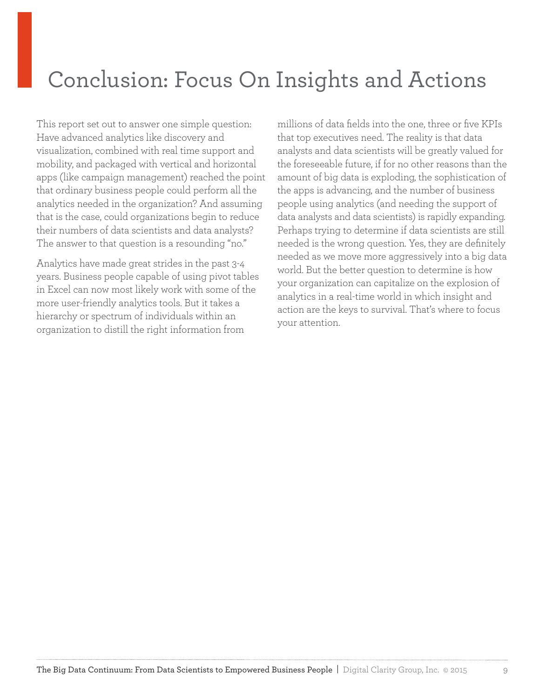### <span id="page-8-0"></span>Conclusion: Focus On Insights and Actions

This report set out to answer one simple question: Have advanced analytics like discovery and visualization, combined with real time support and mobility, and packaged with vertical and horizontal apps (like campaign management) reached the point that ordinary business people could perform all the analytics needed in the organization? And assuming that is the case, could organizations begin to reduce their numbers of data scientists and data analysts? The answer to that question is a resounding "no."

Analytics have made great strides in the past 3-4 years. Business people capable of using pivot tables in Excel can now most likely work with some of the more user-friendly analytics tools. But it takes a hierarchy or spectrum of individuals within an organization to distill the right information from

millions of data fields into the one, three or five KPIs that top executives need. The reality is that data analysts and data scientists will be greatly valued for the foreseeable future, if for no other reasons than the amount of big data is exploding, the sophistication of the apps is advancing, and the number of business people using analytics (and needing the support of data analysts and data scientists) is rapidly expanding. Perhaps trying to determine if data scientists are still needed is the wrong question. Yes, they are definitely needed as we move more aggressively into a big data world. But the better question to determine is how your organization can capitalize on the explosion of analytics in a real-time world in which insight and action are the keys to survival. That's where to focus your attention.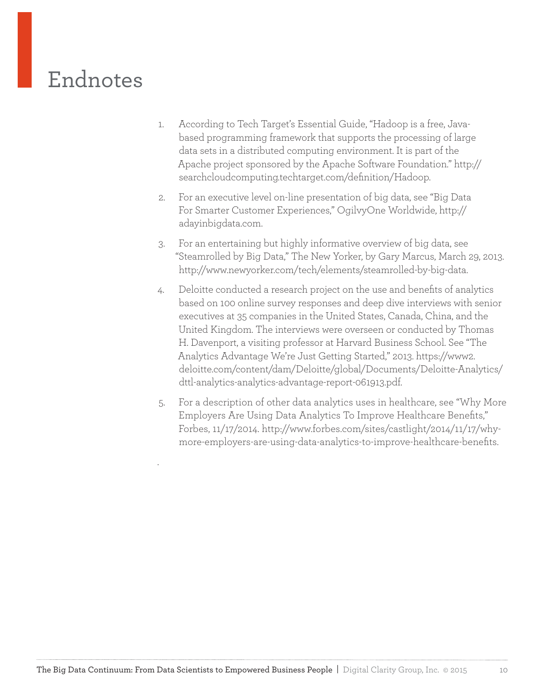### Endnotes

- 1. According to Tech Target's Essential Guide, "Hadoop is a free, Javabased programming framework that supports the processing of large data sets in a distributed computing environment. It is part of the Apache project sponsored by the Apache Software Foundation." [http://](http://searchcloudcomputing.techtarget.com/definition/Hadoop) [searchcloudcomputing.techtarget.com/definition/Hadoop.](http://searchcloudcomputing.techtarget.com/definition/Hadoop)
- 2. For an executive level on-line presentation of big data, see "Big Data For Smarter Customer Experiences," OgilvyOne Worldwide, [http://](http://adayinbigdata.com) [adayinbigdata.com](http://adayinbigdata.com).
- 3. For an entertaining but highly informative overview of big data, see "Steamrolled by Big Data," The New Yorker, by Gary Marcus, March 29, 2013. <http://www.newyorker.com/tech/elements/steamrolled-by-big-data>.
- 4. Deloitte conducted a research project on the use and benefits of analytics based on 100 online survey responses and deep dive interviews with senior executives at 35 companies in the United States, Canada, China, and the United Kingdom. The interviews were overseen or conducted by Thomas H. Davenport, a visiting professor at Harvard Business School. See "The Analytics Advantage We're Just Getting Started," 2013. [https://www2.](https://www2.deloitte.com/content/dam/Deloitte/global/Documents/Deloitte-Analytics/dttl-analytics-analytics-advantage-report-061913.pdf) [deloitte.com/content/dam/Deloitte/global/Documents/Deloitte-Analytics/](https://www2.deloitte.com/content/dam/Deloitte/global/Documents/Deloitte-Analytics/dttl-analytics-analytics-advantage-report-061913.pdf) [dttl-analytics-analytics-advantage-report-061913.pdf](https://www2.deloitte.com/content/dam/Deloitte/global/Documents/Deloitte-Analytics/dttl-analytics-analytics-advantage-report-061913.pdf).
- 5. For a description of other data analytics uses in healthcare, see "Why More Employers Are Using Data Analytics To Improve Healthcare Benefits," Forbes, 11/17/2014. [http://www.forbes.com/sites/castlight/2014/11/17/why](http://www.forbes.com/sites/castlight/2014/11/17/why-more-employers-are-using-data-analytics-to-improve-healthcare-benefits)[more-employers-are-using-data-analytics-to-improve-healthcare-benefits.](http://www.forbes.com/sites/castlight/2014/11/17/why-more-employers-are-using-data-analytics-to-improve-healthcare-benefits)

.